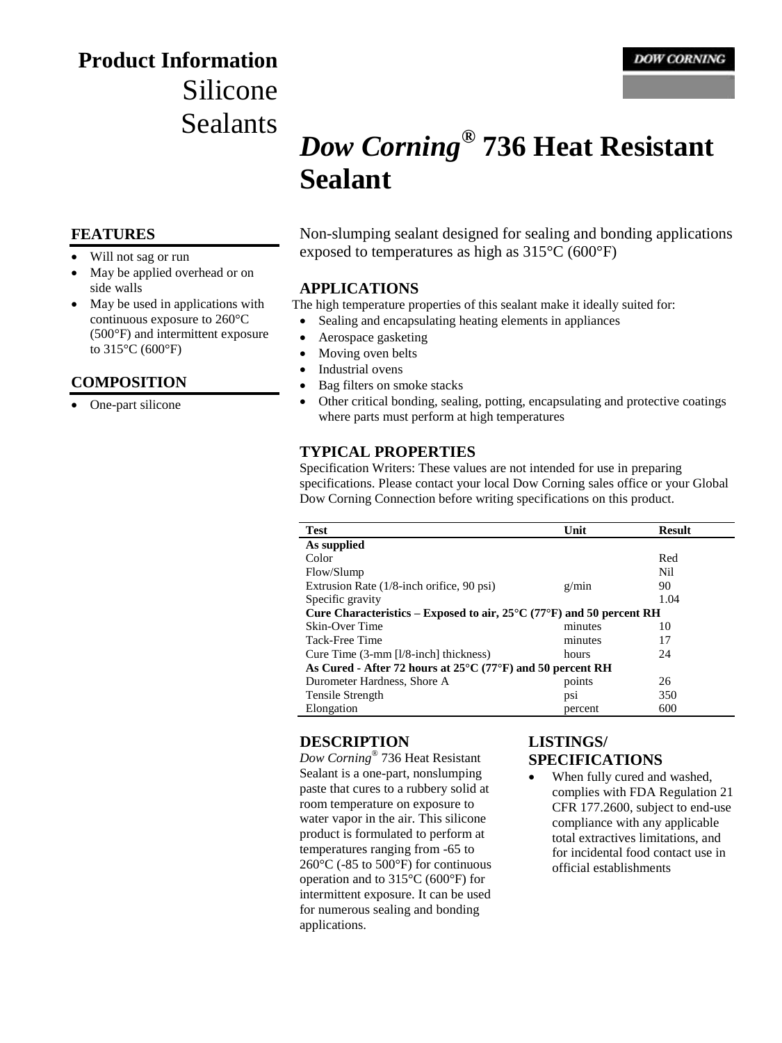# **Product Information** Silicone Sealants

# *Dow Corning***® 736 Heat Resistant Sealant**

### **FEATURES**

- Will not sag or run
- May be applied overhead or on side walls
- May be used in applications with continuous exposure to 260°C (500°F) and intermittent exposure to 315°C (600°F)

## **COMPOSITION**

• One-part silicone

Non-slumping sealant designed for sealing and bonding applications exposed to temperatures as high as 315°C (600°F)

#### **APPLICATIONS**

The high temperature properties of this sealant make it ideally suited for:

- Sealing and encapsulating heating elements in appliances
- Aerospace gasketing
- Moving oven belts
- Industrial ovens
- Bag filters on smoke stacks
- Other critical bonding, sealing, potting, encapsulating and protective coatings where parts must perform at high temperatures

## **TYPICAL PROPERTIES**

Specification Writers: These values are not intended for use in preparing specifications. Please contact your local Dow Corning sales office or your Global Dow Corning Connection before writing specifications on this product.

| <b>Test</b>                                                                               | Unit    | <b>Result</b> |  |
|-------------------------------------------------------------------------------------------|---------|---------------|--|
| As supplied                                                                               |         |               |  |
| Color                                                                                     |         | Red           |  |
| Flow/Slump                                                                                |         | Nil           |  |
| Extrusion Rate (1/8-inch orifice, 90 psi)                                                 | g/min   | 90            |  |
| Specific gravity                                                                          |         | 1.04          |  |
| Cure Characteristics – Exposed to air, $25^{\circ}$ C (77 $^{\circ}$ F) and 50 percent RH |         |               |  |
| Skin-Over Time                                                                            | minutes | 10            |  |
| Tack-Free Time                                                                            | minutes | 17            |  |
| Cure Time $(3-mm)$ [l/8-inch] thickness)                                                  | hours   | 24            |  |
| As Cured - After 72 hours at $25^{\circ}$ C (77 $^{\circ}$ F) and 50 percent RH           |         |               |  |
| Durometer Hardness, Shore A                                                               | points  | 26            |  |
| Tensile Strength                                                                          | ps1     | 350           |  |
| Elongation                                                                                | percent | 600           |  |

## **DESCRIPTION**

*Dow Corning*® 736 Heat Resistant Sealant is a one-part, nonslumping paste that cures to a rubbery solid at room temperature on exposure to water vapor in the air. This silicone product is formulated to perform at temperatures ranging from -65 to 260°C (-85 to 500°F) for continuous operation and to 315°C (600°F) for intermittent exposure. It can be used for numerous sealing and bonding applications.

# **LISTINGS/ SPECIFICATIONS**

 When fully cured and washed, complies with FDA Regulation 21 CFR 177.2600, subject to end-use compliance with any applicable total extractives limitations, and for incidental food contact use in official establishments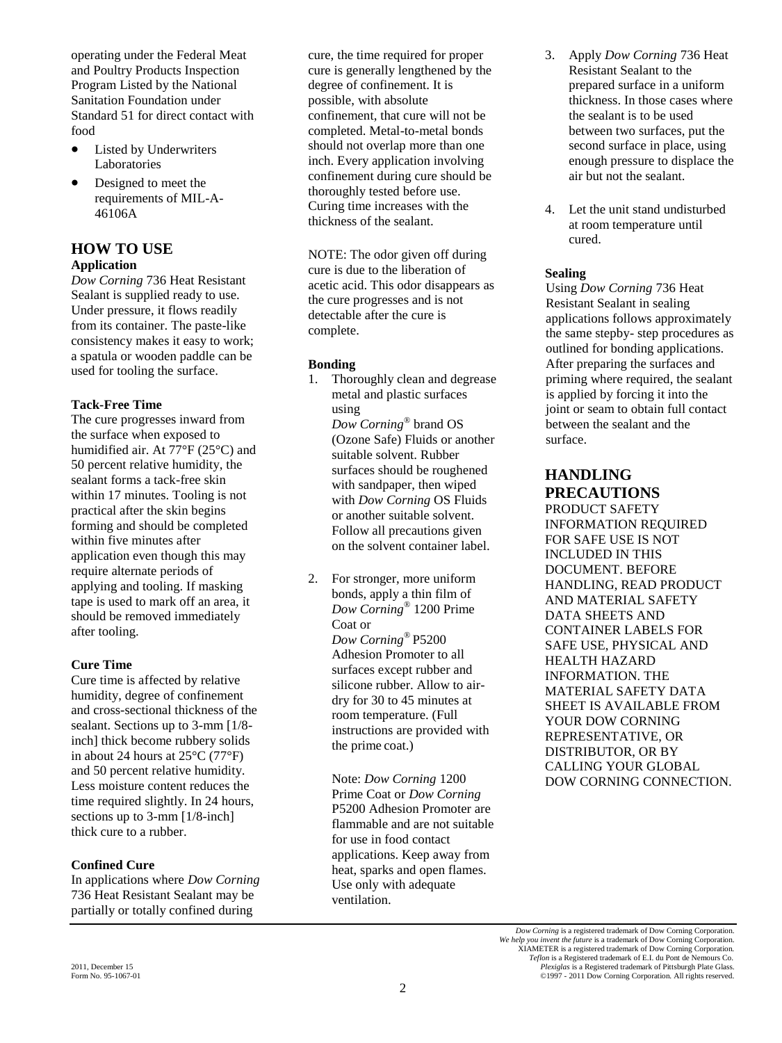operating under the Federal Meat and Poultry Products Inspection Program Listed by the National Sanitation Foundation under Standard 51 for direct contact with food

- Listed by Underwriters Laboratories
- Designed to meet the requirements of MIL-A-46106A

## **HOW TO USE Application**

*Dow Corning* 736 Heat Resistant Sealant is supplied ready to use. Under pressure, it flows readily from its container. The paste-like consistency makes it easy to work; a spatula or wooden paddle can be used for tooling the surface.

#### **Tack-Free Time**

The cure progresses inward from the surface when exposed to humidified air. At 77°F (25°C) and 50 percent relative humidity, the sealant forms a tack-free skin within 17 minutes. Tooling is not practical after the skin begins forming and should be completed within five minutes after application even though this may require alternate periods of applying and tooling. If masking tape is used to mark off an area, it should be removed immediately after tooling.

### **Cure Time**

Cure time is affected by relative humidity, degree of confinement and cross-sectional thickness of the sealant. Sections up to 3-mm [1/8 inch] thick become rubbery solids in about 24 hours at 25°C (77°F) and 50 percent relative humidity. Less moisture content reduces the time required slightly. In 24 hours, sections up to 3-mm [1/8-inch] thick cure to a rubber.

### **Confined Cure**

In applications where *Dow Corning*  736 Heat Resistant Sealant may be partially or totally confined during

cure, the time required for proper cure is generally lengthened by the degree of confinement. It is possible, with absolute confinement, that cure will not be completed. Metal-to-metal bonds should not overlap more than one inch. Every application involving confinement during cure should be thoroughly tested before use. Curing time increases with the thickness of the sealant.

NOTE: The odor given off during cure is due to the liberation of acetic acid. This odor disappears as the cure progresses and is not detectable after the cure is complete.

#### **Bonding**

1. Thoroughly clean and degrease metal and plastic surfaces using *Dow Corning*® brand OS

(Ozone Safe) Fluids or another suitable solvent. Rubber surfaces should be roughened with sandpaper, then wiped with *Dow Corning* OS Fluids or another suitable solvent. Follow all precautions given on the solvent container label.

2. For stronger, more uniform bonds, apply a thin film of *Dow Corning*® 1200 Prime Coat or *Dow Corning*® P5200 Adhesion Promoter to all surfaces except rubber and silicone rubber. Allow to airdry for 30 to 45 minutes at room temperature. (Full instructions are provided with the prime coat.)

> Note: *Dow Corning* 1200 Prime Coat or *Dow Corning* P5200 Adhesion Promoter are flammable and are not suitable for use in food contact applications. Keep away from heat, sparks and open flames. Use only with adequate ventilation.

- 3. Apply *Dow Corning* 736 Heat Resistant Sealant to the prepared surface in a uniform thickness. In those cases where the sealant is to be used between two surfaces, put the second surface in place, using enough pressure to displace the air but not the sealant.
- 4. Let the unit stand undisturbed at room temperature until cured.

## **Sealing**

Using *Dow Corning* 736 Heat Resistant Sealant in sealing applications follows approximately the same stepby- step procedures as outlined for bonding applications. After preparing the surfaces and priming where required, the sealant is applied by forcing it into the joint or seam to obtain full contact between the sealant and the surface.

# **HANDLING PRECAUTIONS**

PRODUCT SAFETY INFORMATION REQUIRED FOR SAFE USE IS NOT INCLUDED IN THIS DOCUMENT. BEFORE HANDLING, READ PRODUCT AND MATERIAL SAFETY DATA SHEETS AND CONTAINER LABELS FOR SAFE USE, PHYSICAL AND HEALTH HAZARD INFORMATION. THE MATERIAL SAFETY DATA SHEET IS AVAILABLE FROM YOUR DOW CORNING REPRESENTATIVE, OR DISTRIBUTOR, OR BY CALLING YOUR GLOBAL DOW CORNING CONNECTION.